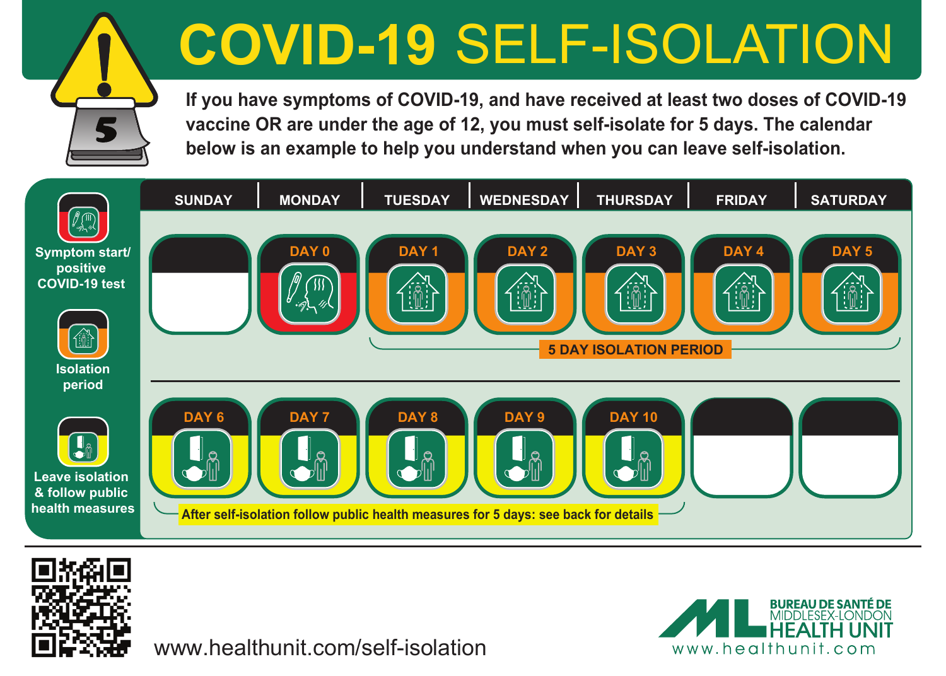# **COVID-19** SELF-ISOLATION

**If you have symptoms of COVID-19, and have received at least two doses of COVID-19 vaccine OR are under the age of 12, you must self-isolate for 5 days. The calendar below is an example to help you understand when you can leave self-isolation.**





5

www.healthunit.com/self-isolation